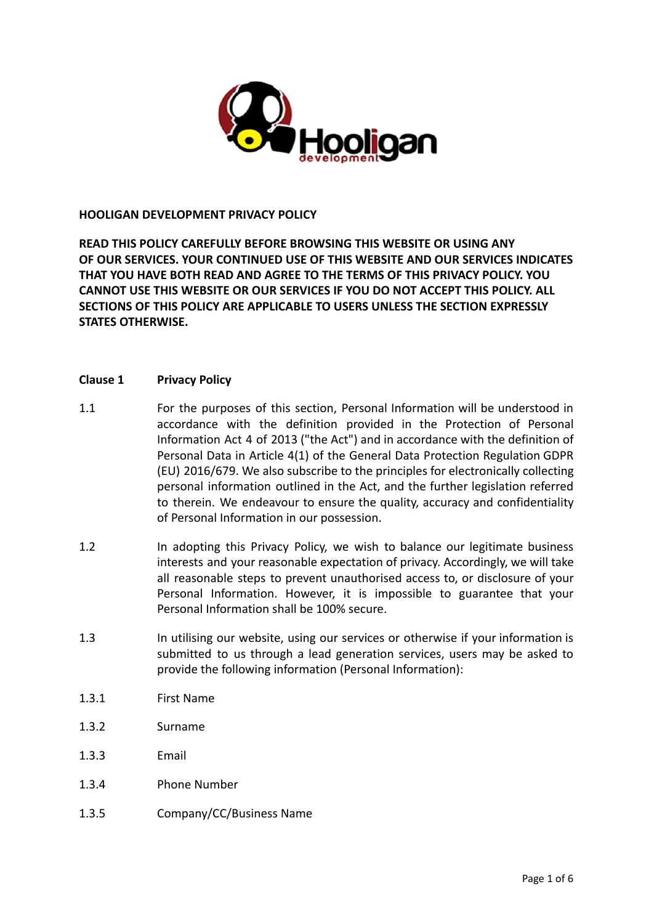

### **HOOLIGAN DEVELOPMENT PRIVACY POLICY**

**READ THIS POLICY CAREFULLY BEFORE BROWSING THIS WEBSITE OR USING ANY OF OUR SERVICES. YOUR CONTINUED USE OF THIS WEBSITE AND OUR SERVICES INDICATES THAT YOU HAVE BOTH READ AND AGREE TO THE TERMS OF THIS PRIVACY POLICY. YOU CANNOT USE THIS WEBSITE OR OUR SERVICES IF YOU DO NOT ACCEPT THIS POLICY. ALL SECTIONS OF THIS POLICY ARE APPLICABLE TO USERS UNLESS THE SECTION EXPRESSLY STATES OTHERWISE.**

### **Clause 1 Privacy Policy**

- 1.1 For the purposes of this section, Personal Information will be understood in accordance with the definition provided in the Protection of Personal Information Act 4 of 2013 ("the Act") and in accordance with the definition of Personal Data in Article 4(1) of the General Data Protection Regulation GDPR (EU) 2016/679. We also subscribe to the principles for electronically collecting personal information outlined in the Act, and the further legislation referred to therein. We endeavour to ensure the quality, accuracy and confidentiality of Personal Information in our possession.
- 1.2 In adopting this Privacy Policy, we wish to balance our legitimate business interests and your reasonable expectation of privacy. Accordingly, we will take all reasonable steps to prevent unauthorised access to, or disclosure of your Personal Information. However, it is impossible to guarantee that your Personal Information shall be 100% secure.
- 1.3 In utilising our website, using our services or otherwise if your information is submitted to us through a lead generation services, users may be asked to provide the following information (Personal Information):
- 1.3.1 First Name
- 1.3.2 Surname
- 1.3.3 Email
- 1.3.4 Phone Number
- 1.3.5 Company/CC/Business Name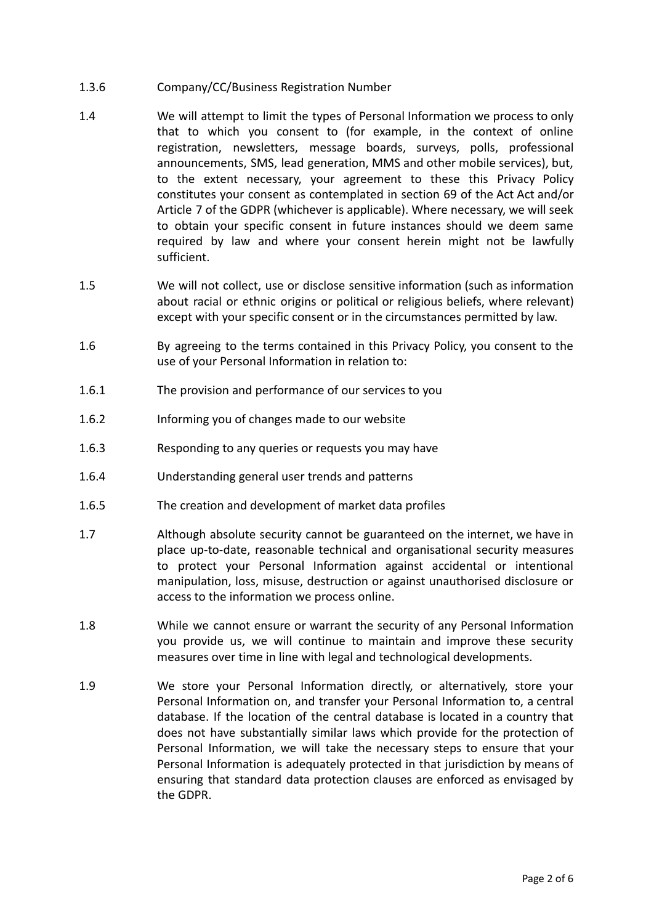- 1.3.6 Company/CC/Business Registration Number
- 1.4 We will attempt to limit the types of Personal Information we process to only that to which you consent to (for example, in the context of online registration, newsletters, message boards, surveys, polls, professional announcements, SMS, lead generation, MMS and other mobile services), but, to the extent necessary, your agreement to these this Privacy Policy constitutes your consent as contemplated in section 69 of the Act Act and/or Article 7 of the GDPR (whichever is applicable). Where necessary, we will seek to obtain your specific consent in future instances should we deem same required by law and where your consent herein might not be lawfully sufficient.
- 1.5 We will not collect, use or disclose sensitive information (such as information about racial or ethnic origins or political or religious beliefs, where relevant) except with your specific consent or in the circumstances permitted by law.
- 1.6 By agreeing to the terms contained in this Privacy Policy, you consent to the use of your Personal Information in relation to:
- 1.6.1 The provision and performance of our services to you
- 1.6.2 Informing you of changes made to our website
- 1.6.3 Responding to any queries or requests you may have
- 1.6.4 Understanding general user trends and patterns
- 1.6.5 The creation and development of market data profiles
- 1.7 Although absolute security cannot be guaranteed on the internet, we have in place up-to-date, reasonable technical and organisational security measures to protect your Personal Information against accidental or intentional manipulation, loss, misuse, destruction or against unauthorised disclosure or access to the information we process online.
- 1.8 While we cannot ensure or warrant the security of any Personal Information you provide us, we will continue to maintain and improve these security measures over time in line with legal and technological developments.
- 1.9 We store your Personal Information directly, or alternatively, store your Personal Information on, and transfer your Personal Information to, a central database. If the location of the central database is located in a country that does not have substantially similar laws which provide for the protection of Personal Information, we will take the necessary steps to ensure that your Personal Information is adequately protected in that jurisdiction by means of ensuring that standard data protection clauses are enforced as envisaged by the GDPR.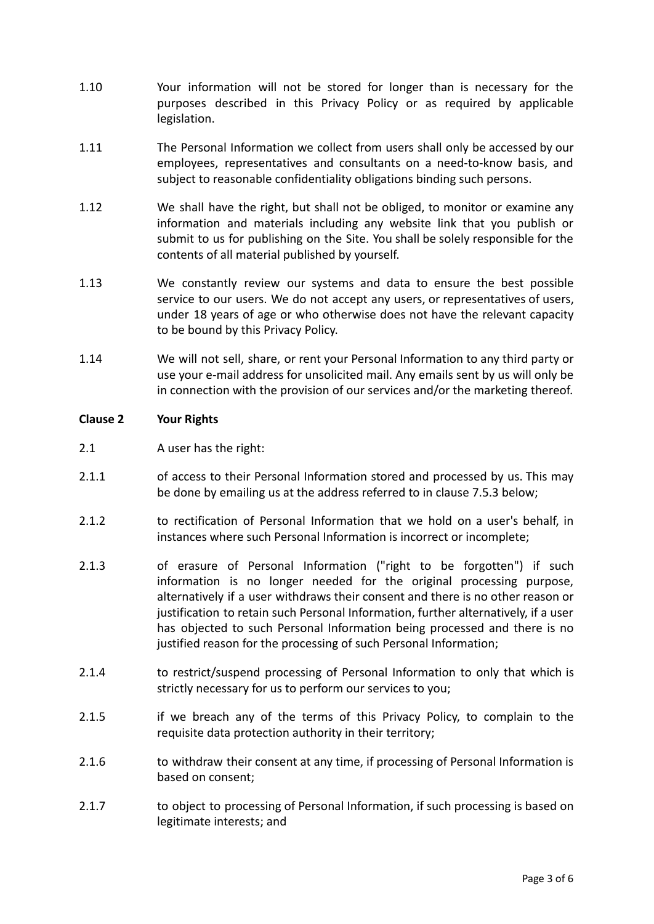- 1.10 Your information will not be stored for longer than is necessary for the purposes described in this Privacy Policy or as required by applicable legislation.
- 1.11 The Personal Information we collect from users shall only be accessed by our employees, representatives and consultants on a need-to-know basis, and subject to reasonable confidentiality obligations binding such persons.
- 1.12 We shall have the right, but shall not be obliged, to monitor or examine any information and materials including any website link that you publish or submit to us for publishing on the Site. You shall be solely responsible for the contents of all material published by yourself.
- 1.13 We constantly review our systems and data to ensure the best possible service to our users. We do not accept any users, or representatives of users, under 18 years of age or who otherwise does not have the relevant capacity to be bound by this Privacy Policy.
- 1.14 We will not sell, share, or rent your Personal Information to any third party or use your e-mail address for unsolicited mail. Any emails sent by us will only be in connection with the provision of our services and/or the marketing thereof.

## **Clause 2 Your Rights**

- 2.1 A user has the right:
- 2.1.1 of access to their Personal Information stored and processed by us. This may be done by emailing us at the address referred to in clause 7.5.3 below;
- 2.1.2 to rectification of Personal Information that we hold on a user's behalf, in instances where such Personal Information is incorrect or incomplete;
- 2.1.3 of erasure of Personal Information ("right to be forgotten") if such information is no longer needed for the original processing purpose, alternatively if a user withdraws their consent and there is no other reason or justification to retain such Personal Information, further alternatively, if a user has objected to such Personal Information being processed and there is no justified reason for the processing of such Personal Information;
- 2.1.4 to restrict/suspend processing of Personal Information to only that which is strictly necessary for us to perform our services to you;
- 2.1.5 if we breach any of the terms of this Privacy Policy, to complain to the requisite data protection authority in their territory;
- 2.1.6 to withdraw their consent at any time, if processing of Personal Information is based on consent;
- 2.1.7 to object to processing of Personal Information, if such processing is based on legitimate interests; and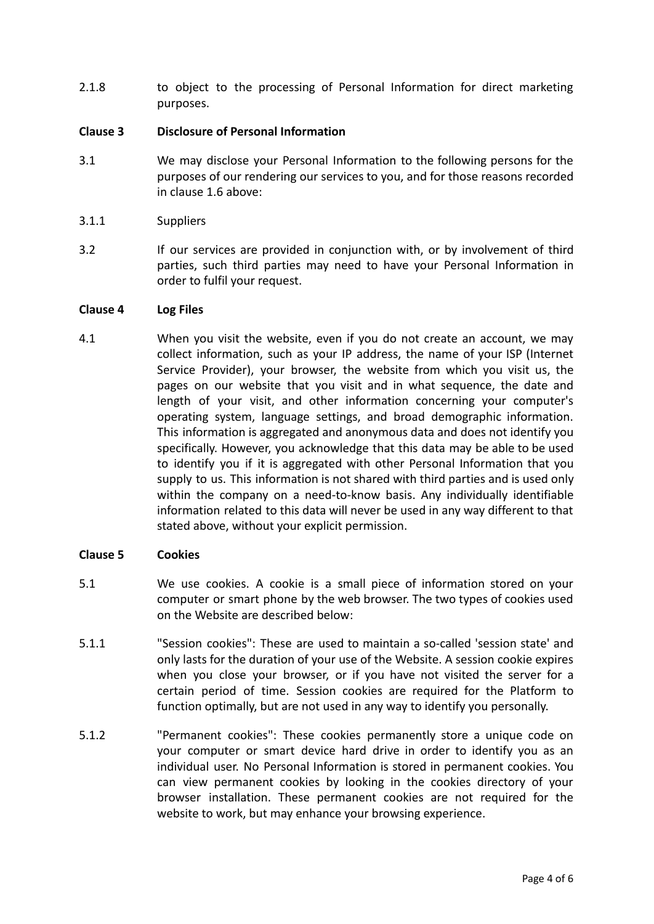2.1.8 to object to the processing of Personal Information for direct marketing purposes.

# **Clause 3 Disclosure of Personal Information**

- 3.1 We may disclose your Personal Information to the following persons for the purposes of our rendering our services to you, and for those reasons recorded in clause 1.6 above:
- 3.1.1 Suppliers
- 3.2 If our services are provided in conjunction with, or by involvement of third parties, such third parties may need to have your Personal Information in order to fulfil your request.

### **Clause 4 Log Files**

4.1 When you visit the website, even if you do not create an account, we may collect information, such as your IP address, the name of your ISP (Internet Service Provider), your browser, the website from which you visit us, the pages on our website that you visit and in what sequence, the date and length of your visit, and other information concerning your computer's operating system, language settings, and broad demographic information. This information is aggregated and anonymous data and does not identify you specifically. However, you acknowledge that this data may be able to be used to identify you if it is aggregated with other Personal Information that you supply to us. This information is not shared with third parties and is used only within the company on a need-to-know basis. Any individually identifiable information related to this data will never be used in any way different to that stated above, without your explicit permission.

#### **Clause 5 Cookies**

- 5.1 We use cookies. A cookie is a small piece of information stored on your computer or smart phone by the web browser. The two types of cookies used on the Website are described below:
- 5.1.1 "Session cookies": These are used to maintain a so-called 'session state' and only lasts for the duration of your use of the Website. A session cookie expires when you close your browser, or if you have not visited the server for a certain period of time. Session cookies are required for the Platform to function optimally, but are not used in any way to identify you personally.
- 5.1.2 "Permanent cookies": These cookies permanently store a unique code on your computer or smart device hard drive in order to identify you as an individual user. No Personal Information is stored in permanent cookies. You can view permanent cookies by looking in the cookies directory of your browser installation. These permanent cookies are not required for the website to work, but may enhance your browsing experience.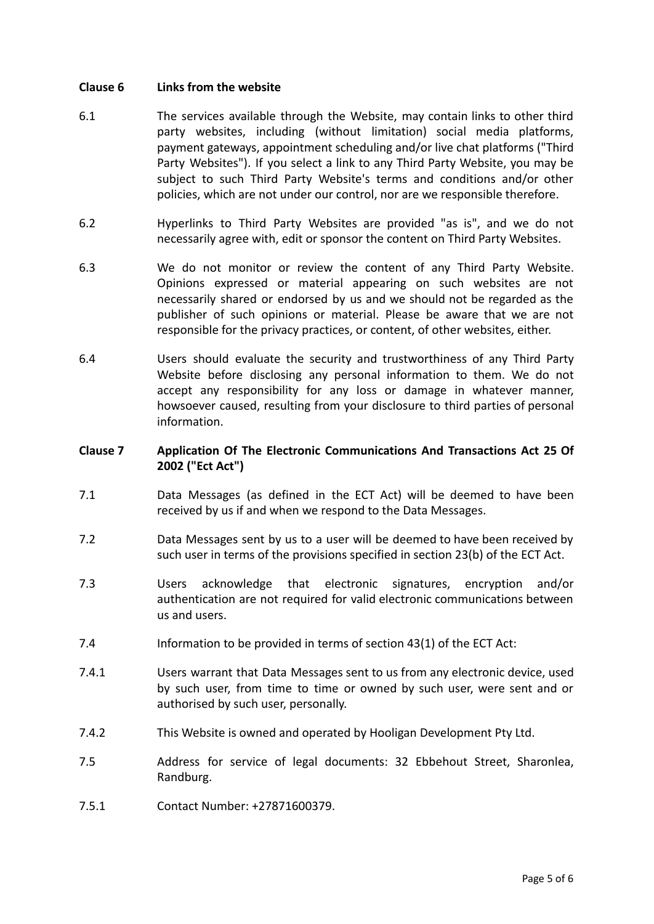### **Clause 6 Links from the website**

- 6.1 The services available through the Website, may contain links to other third party websites, including (without limitation) social media platforms, payment gateways, appointment scheduling and/or live chat platforms ("Third Party Websites"). If you select a link to any Third Party Website, you may be subject to such Third Party Website's terms and conditions and/or other policies, which are not under our control, nor are we responsible therefore.
- 6.2 Hyperlinks to Third Party Websites are provided "as is", and we do not necessarily agree with, edit or sponsor the content on Third Party Websites.
- 6.3 We do not monitor or review the content of any Third Party Website. Opinions expressed or material appearing on such websites are not necessarily shared or endorsed by us and we should not be regarded as the publisher of such opinions or material. Please be aware that we are not responsible for the privacy practices, or content, of other websites, either.
- 6.4 Users should evaluate the security and trustworthiness of any Third Party Website before disclosing any personal information to them. We do not accept any responsibility for any loss or damage in whatever manner, howsoever caused, resulting from your disclosure to third parties of personal information.

# **Clause 7 Application Of The Electronic Communications And Transactions Act 25 Of 2002 ("Ect Act")**

- 7.1 Data Messages (as defined in the ECT Act) will be deemed to have been received by us if and when we respond to the Data Messages.
- 7.2 Data Messages sent by us to a user will be deemed to have been received by such user in terms of the provisions specified in section 23(b) of the ECT Act.
- 7.3 Users acknowledge that electronic signatures, encryption and/or authentication are not required for valid electronic communications between us and users.
- 7.4 Information to be provided in terms of section 43(1) of the ECT Act:
- 7.4.1 Users warrant that Data Messages sent to us from any electronic device, used by such user, from time to time or owned by such user, were sent and or authorised by such user, personally.
- 7.4.2 This Website is owned and operated by Hooligan Development Pty Ltd.
- 7.5 Address for service of legal documents: 32 Ebbehout Street, Sharonlea, Randburg.
- 7.5.1 Contact Number: +27871600379.